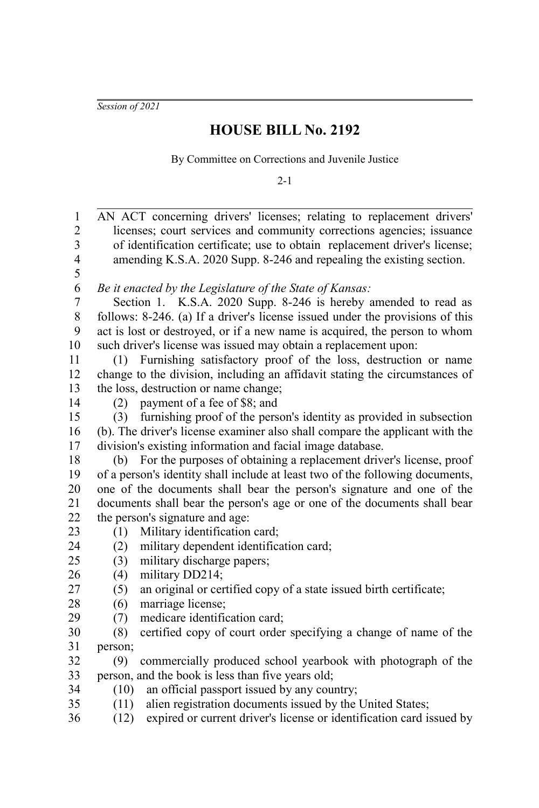*Session of 2021*

## **HOUSE BILL No. 2192**

By Committee on Corrections and Juvenile Justice

2-1

| 1                         |                                                                                                                                                  | AN ACT concerning drivers' licenses; relating to replacement drivers'        |
|---------------------------|--------------------------------------------------------------------------------------------------------------------------------------------------|------------------------------------------------------------------------------|
| $\overline{c}$            | licenses; court services and community corrections agencies; issuance                                                                            |                                                                              |
| $\overline{\mathbf{3}}$   | of identification certificate; use to obtain replacement driver's license;                                                                       |                                                                              |
| $\overline{\mathbf{4}}$   | amending K.S.A. 2020 Supp. 8-246 and repealing the existing section.                                                                             |                                                                              |
| 5                         |                                                                                                                                                  |                                                                              |
| 6                         |                                                                                                                                                  | Be it enacted by the Legislature of the State of Kansas:                     |
| $\boldsymbol{7}$<br>$8\,$ | Section 1. K.S.A. 2020 Supp. 8-246 is hereby amended to read as<br>follows: 8-246. (a) If a driver's license issued under the provisions of this |                                                                              |
| 9                         | act is lost or destroyed, or if a new name is acquired, the person to whom                                                                       |                                                                              |
| 10                        | such driver's license was issued may obtain a replacement upon:                                                                                  |                                                                              |
| 11                        |                                                                                                                                                  | (1) Furnishing satisfactory proof of the loss, destruction or name           |
| 12                        |                                                                                                                                                  | change to the division, including an affidavit stating the circumstances of  |
| 13                        |                                                                                                                                                  | the loss, destruction or name change;                                        |
| 14                        | (2)                                                                                                                                              | payment of a fee of \$8; and                                                 |
| 15                        | (3)                                                                                                                                              | furnishing proof of the person's identity as provided in subsection          |
| 16                        |                                                                                                                                                  | (b). The driver's license examiner also shall compare the applicant with the |
| 17                        | division's existing information and facial image database.                                                                                       |                                                                              |
| 18                        | (b)                                                                                                                                              | For the purposes of obtaining a replacement driver's license, proof          |
| 19                        | of a person's identity shall include at least two of the following documents,                                                                    |                                                                              |
| 20                        | one of the documents shall bear the person's signature and one of the                                                                            |                                                                              |
| 21                        | documents shall bear the person's age or one of the documents shall bear                                                                         |                                                                              |
| 22                        | the person's signature and age:                                                                                                                  |                                                                              |
| 23                        | (1)                                                                                                                                              | Military identification card;                                                |
| 24                        | (2)                                                                                                                                              | military dependent identification card;                                      |
| 25                        | (3)                                                                                                                                              | military discharge papers;                                                   |
| 26                        | (4)                                                                                                                                              | military DD214;                                                              |
| 27                        | (5)                                                                                                                                              | an original or certified copy of a state issued birth certificate;           |
| $28\,$                    | (6)                                                                                                                                              | marriage license;                                                            |
| 29                        | (7)                                                                                                                                              | medicare identification card;                                                |
| 30                        | (8)                                                                                                                                              | certified copy of court order specifying a change of name of the             |
| 31                        | person;                                                                                                                                          |                                                                              |
| 32                        | (9)                                                                                                                                              | commercially produced school yearbook with photograph of the                 |
| 33                        |                                                                                                                                                  | person, and the book is less than five years old;                            |
| 34                        | (10)                                                                                                                                             | an official passport issued by any country;                                  |
| 35                        | (11)                                                                                                                                             | alien registration documents issued by the United States;                    |
| 36                        | (12)                                                                                                                                             | expired or current driver's license or identification card issued by         |